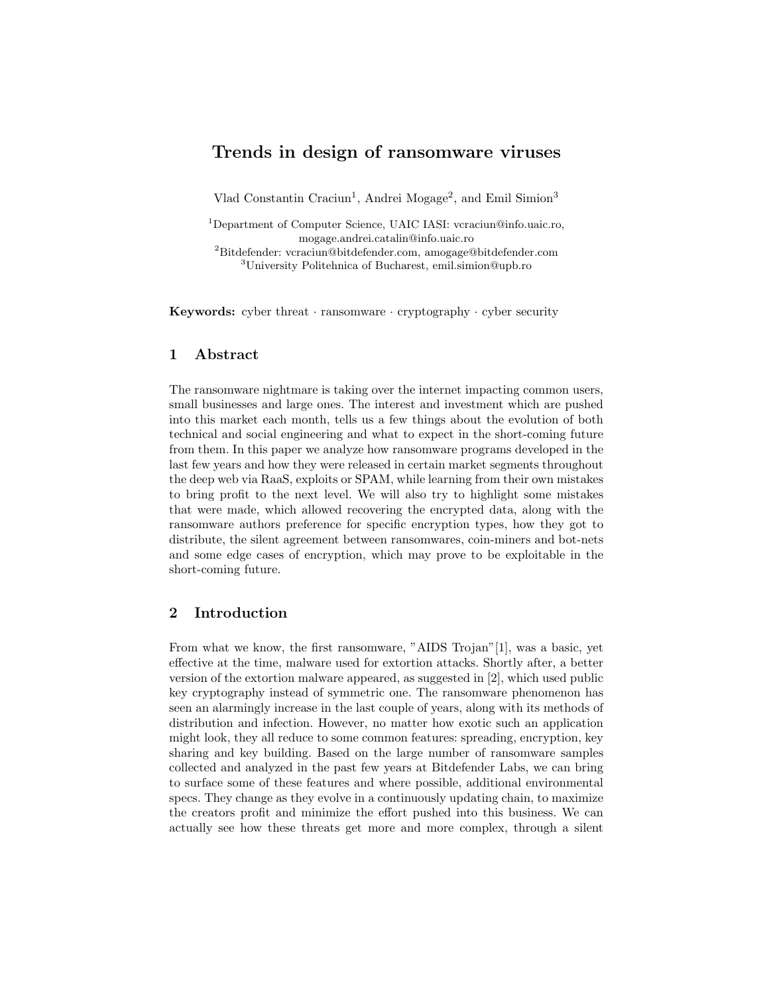# Trends in design of ransomware viruses

Vlad Constantin Craciun<sup>1</sup>, Andrei Mogage<sup>2</sup>, and Emil Simion<sup>3</sup>

Department of Computer Science, UAIC IASI: vcraciun@info.uaic.ro, mogage.andrei.catalin@info.uaic.ro Bitdefender: vcraciun@bitdefender.com, amogage@bitdefender.com University Politehnica of Bucharest, emil.simion@upb.ro

**Keywords:** cyber threat  $\cdot$  ransomware  $\cdot$  cryptography  $\cdot$  cyber security

### 1 Abstract

The ransomware nightmare is taking over the internet impacting common users, small businesses and large ones. The interest and investment which are pushed into this market each month, tells us a few things about the evolution of both technical and social engineering and what to expect in the short-coming future from them. In this paper we analyze how ransomware programs developed in the last few years and how they were released in certain market segments throughout the deep web via RaaS, exploits or SPAM, while learning from their own mistakes to bring profit to the next level. We will also try to highlight some mistakes that were made, which allowed recovering the encrypted data, along with the ransomware authors preference for specific encryption types, how they got to distribute, the silent agreement between ransomwares, coin-miners and bot-nets and some edge cases of encryption, which may prove to be exploitable in the short-coming future.

# 2 Introduction

From what we know, the first ransomware, "AIDS Trojan"[1], was a basic, yet effective at the time, malware used for extortion attacks. Shortly after, a better version of the extortion malware appeared, as suggested in [2], which used public key cryptography instead of symmetric one. The ransomware phenomenon has seen an alarmingly increase in the last couple of years, along with its methods of distribution and infection. However, no matter how exotic such an application might look, they all reduce to some common features: spreading, encryption, key sharing and key building. Based on the large number of ransomware samples collected and analyzed in the past few years at Bitdefender Labs, we can bring to surface some of these features and where possible, additional environmental specs. They change as they evolve in a continuously updating chain, to maximize the creators profit and minimize the effort pushed into this business. We can actually see how these threats get more and more complex, through a silent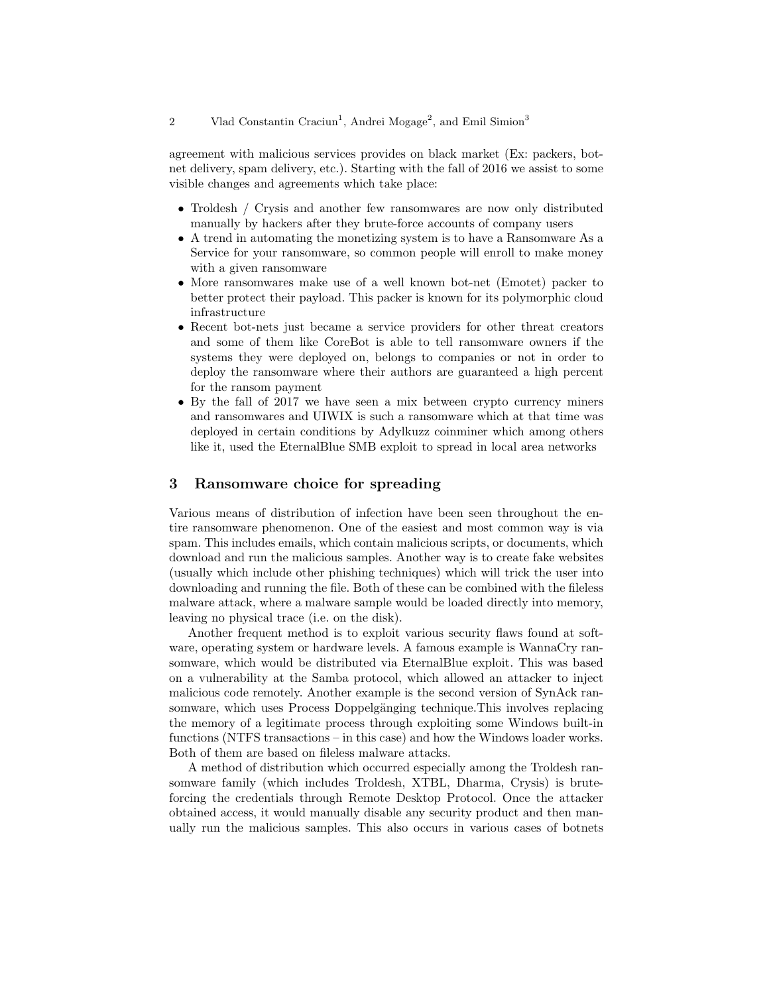agreement with malicious services provides on black market (Ex: packers, botnet delivery, spam delivery, etc.). Starting with the fall of 2016 we assist to some visible changes and agreements which take place:

- Troldesh / Crysis and another few ransomwares are now only distributed manually by hackers after they brute-force accounts of company users
- A trend in automating the monetizing system is to have a Ransomware As a Service for your ransomware, so common people will enroll to make money with a given ransomware
- More ransomwares make use of a well known bot-net (Emotet) packer to better protect their payload. This packer is known for its polymorphic cloud infrastructure
- Recent bot-nets just became a service providers for other threat creators and some of them like CoreBot is able to tell ransomware owners if the systems they were deployed on, belongs to companies or not in order to deploy the ransomware where their authors are guaranteed a high percent for the ransom payment
- By the fall of 2017 we have seen a mix between crypto currency miners and ransomwares and UIWIX is such a ransomware which at that time was deployed in certain conditions by Adylkuzz coinminer which among others like it, used the EternalBlue SMB exploit to spread in local area networks

# 3 Ransomware choice for spreading

Various means of distribution of infection have been seen throughout the entire ransomware phenomenon. One of the easiest and most common way is via spam. This includes emails, which contain malicious scripts, or documents, which download and run the malicious samples. Another way is to create fake websites (usually which include other phishing techniques) which will trick the user into downloading and running the file. Both of these can be combined with the fileless malware attack, where a malware sample would be loaded directly into memory, leaving no physical trace (i.e. on the disk).

Another frequent method is to exploit various security flaws found at software, operating system or hardware levels. A famous example is WannaCry ransomware, which would be distributed via EternalBlue exploit. This was based on a vulnerability at the Samba protocol, which allowed an attacker to inject malicious code remotely. Another example is the second version of SynAck ransomware, which uses Process Doppelgänging technique. This involves replacing the memory of a legitimate process through exploiting some Windows built-in functions (NTFS transactions – in this case) and how the Windows loader works. Both of them are based on fileless malware attacks.

A method of distribution which occurred especially among the Troldesh ransomware family (which includes Troldesh, XTBL, Dharma, Crysis) is bruteforcing the credentials through Remote Desktop Protocol. Once the attacker obtained access, it would manually disable any security product and then manually run the malicious samples. This also occurs in various cases of botnets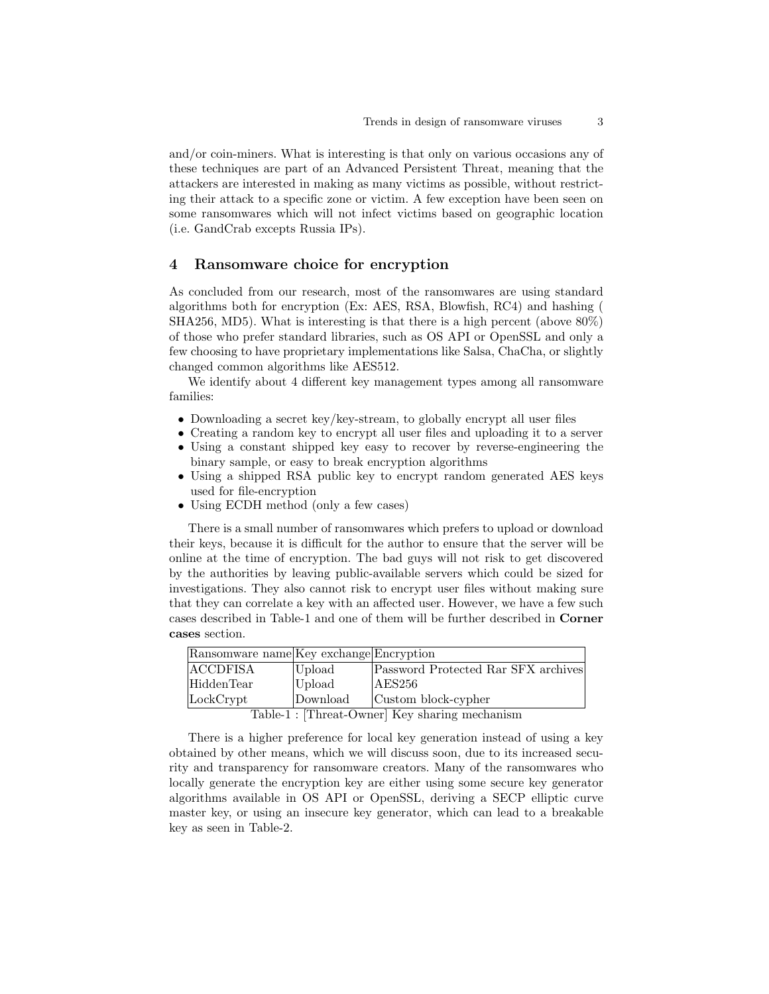and/or coin-miners. What is interesting is that only on various occasions any of these techniques are part of an Advanced Persistent Threat, meaning that the attackers are interested in making as many victims as possible, without restricting their attack to a specific zone or victim. A few exception have been seen on some ransomwares which will not infect victims based on geographic location (i.e. GandCrab excepts Russia IPs).

#### 4 Ransomware choice for encryption

As concluded from our research, most of the ransomwares are using standard algorithms both for encryption (Ex: AES, RSA, Blowfish, RC4) and hashing ( SHA256, MD5). What is interesting is that there is a high percent (above 80%) of those who prefer standard libraries, such as OS API or OpenSSL and only a few choosing to have proprietary implementations like Salsa, ChaCha, or slightly changed common algorithms like AES512.

We identify about 4 different key management types among all ransomware families:

- Downloading a secret key/key-stream, to globally encrypt all user files
- Creating a random key to encrypt all user files and uploading it to a server
- Using a constant shipped key easy to recover by reverse-engineering the binary sample, or easy to break encryption algorithms
- Using a shipped RSA public key to encrypt random generated AES keys used for file-encryption
- Using ECDH method (only a few cases)

There is a small number of ransomwares which prefers to upload or download their keys, because it is difficult for the author to ensure that the server will be online at the time of encryption. The bad guys will not risk to get discovered by the authorities by leaving public-available servers which could be sized for investigations. They also cannot risk to encrypt user files without making sure that they can correlate a key with an affected user. However, we have a few such cases described in Table-1 and one of them will be further described in Corner cases section.

| Ransomware name Key exchange Encryption |                  |                                     |
|-----------------------------------------|------------------|-------------------------------------|
| ACCDFISA                                | Upload           | Password Protected Rar SFX archives |
| HiddenTear                              | Upload           | AES256                              |
| LockCrypt                               | Download         | Custom block-cypher                 |
| $\mathbf{m}$ $\mathbf{m}$               | LET <sub>1</sub> |                                     |

Table-1 : [Threat-Owner] Key sharing mechanism

There is a higher preference for local key generation instead of using a key obtained by other means, which we will discuss soon, due to its increased security and transparency for ransomware creators. Many of the ransomwares who locally generate the encryption key are either using some secure key generator algorithms available in OS API or OpenSSL, deriving a SECP elliptic curve master key, or using an insecure key generator, which can lead to a breakable key as seen in Table-2.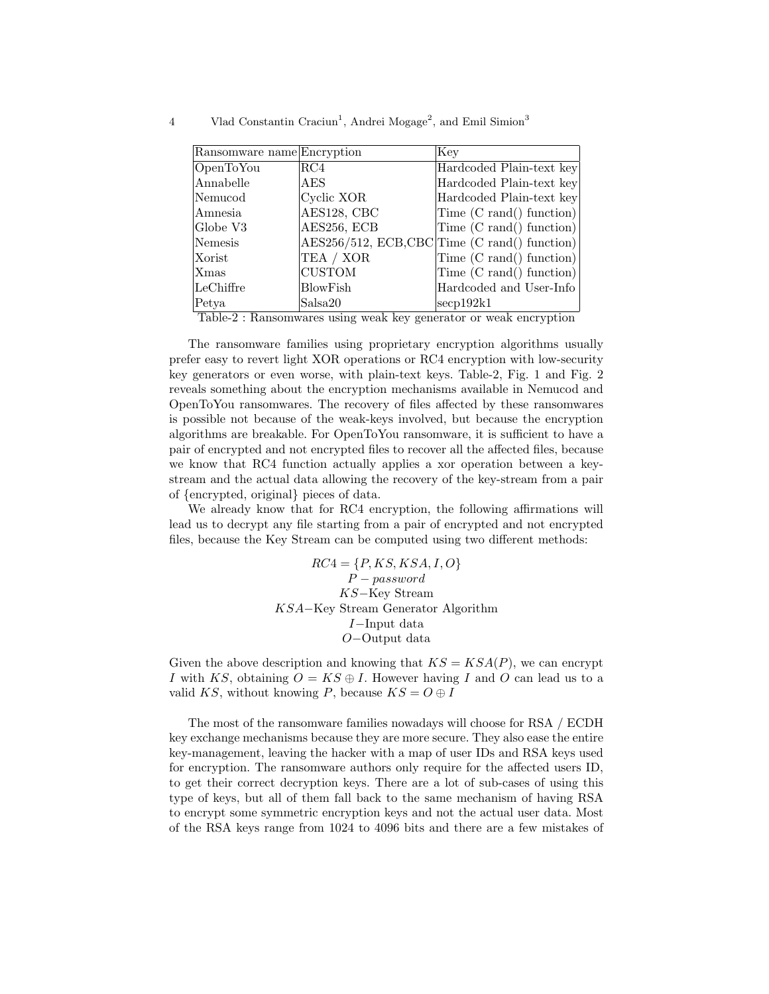| Ransomware name Encryption |               | Key                                          |
|----------------------------|---------------|----------------------------------------------|
| OpenToYou                  | RC4           | Hardcoded Plain-text key                     |
| Annabelle                  | <b>AES</b>    | Hardcoded Plain-text key                     |
| Nemucod                    | Cyclic XOR    | Hardcoded Plain-text key                     |
| Amnesia                    | AES128, CBC   | Time (C rand() function)                     |
| Globe V3                   | AES256, ECB   | Time (C rand() function)                     |
| Nemesis                    |               | AES256/512, ECB,CBC Time (C rand() function) |
| Xorist                     | TEA / XOR     | Time (C rand() function)                     |
| Xmas                       | <b>CUSTOM</b> | Time (C rand() function)                     |
| LeChiffre                  | BlowFish      | Hardcoded and User-Info                      |
| Petya                      | Salsa20       | $\secp192k1$                                 |

4 Vlad Constantin Craciun<sup>1</sup>, Andrei Mogage<sup>2</sup>, and Emil Simion<sup>3</sup>

Table-2 : Ransomwares using weak key generator or weak encryption

The ransomware families using proprietary encryption algorithms usually prefer easy to revert light XOR operations or RC4 encryption with low-security key generators or even worse, with plain-text keys. Table-2, Fig. 1 and Fig. 2 reveals something about the encryption mechanisms available in Nemucod and OpenToYou ransomwares. The recovery of files affected by these ransomwares is possible not because of the weak-keys involved, but because the encryption algorithms are breakable. For OpenToYou ransomware, it is sufficient to have a pair of encrypted and not encrypted files to recover all the affected files, because we know that RC4 function actually applies a xor operation between a keystream and the actual data allowing the recovery of the key-stream from a pair of {encrypted, original} pieces of data.

We already know that for RC4 encryption, the following affirmations will lead us to decrypt any file starting from a pair of encrypted and not encrypted files, because the Key Stream can be computed using two different methods:

> $RC4 = \{P, KS, KSA, I, O\}$  $P-password$ KS−Key Stream KSA−Key Stream Generator Algorithm I−Input data O−Output data

Given the above description and knowing that  $KS = KSA(P)$ , we can encrypt I with KS, obtaining  $O = KS \oplus I$ . However having I and O can lead us to a valid KS, without knowing P, because  $KS = O \oplus I$ 

The most of the ransomware families nowadays will choose for RSA / ECDH key exchange mechanisms because they are more secure. They also ease the entire key-management, leaving the hacker with a map of user IDs and RSA keys used for encryption. The ransomware authors only require for the affected users ID, to get their correct decryption keys. There are a lot of sub-cases of using this type of keys, but all of them fall back to the same mechanism of having RSA to encrypt some symmetric encryption keys and not the actual user data. Most of the RSA keys range from 1024 to 4096 bits and there are a few mistakes of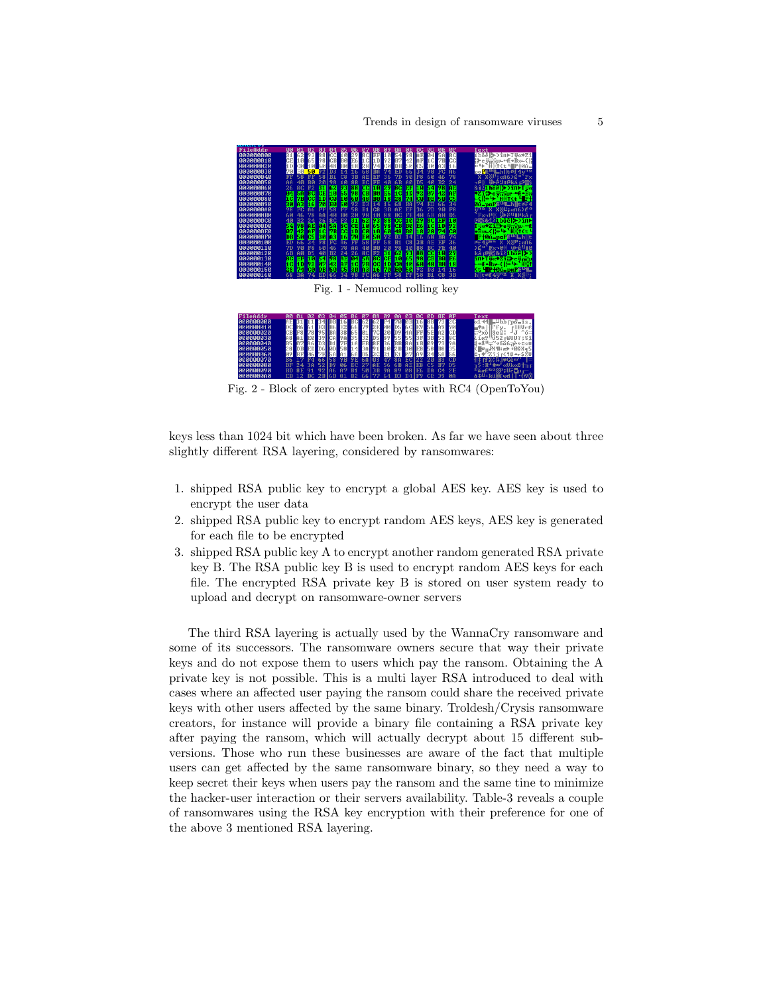

Fig. 2 - Block of zero encrypted bytes with RC4 (OpenToYou)

keys less than 1024 bit which have been broken. As far we have seen about three slightly different RSA layering, considered by ransomwares:

- 1. shipped RSA public key to encrypt a global AES key. AES key is used to encrypt the user data
- 2. shipped RSA public key to encrypt random AES keys, AES key is generated for each file to be encrypted
- 3. shipped RSA public key A to encrypt another random generated RSA private key B. The RSA public key B is used to encrypt random AES keys for each file. The encrypted RSA private key B is stored on user system ready to upload and decrypt on ransomware-owner servers

The third RSA layering is actually used by the WannaCry ransomware and some of its successors. The ransomware owners secure that way their private keys and do not expose them to users which pay the ransom. Obtaining the A private key is not possible. This is a multi layer RSA introduced to deal with cases where an affected user paying the ransom could share the received private keys with other users affected by the same binary. Troldesh/Crysis ransomware creators, for instance will provide a binary file containing a RSA private key after paying the ransom, which will actually decrypt about 15 different subversions. Those who run these businesses are aware of the fact that multiple users can get affected by the same ransomware binary, so they need a way to keep secret their keys when users pay the ransom and the same tine to minimize the hacker-user interaction or their servers availability. Table-3 reveals a couple of ransomwares using the RSA key encryption with their preference for one of the above 3 mentioned RSA layering.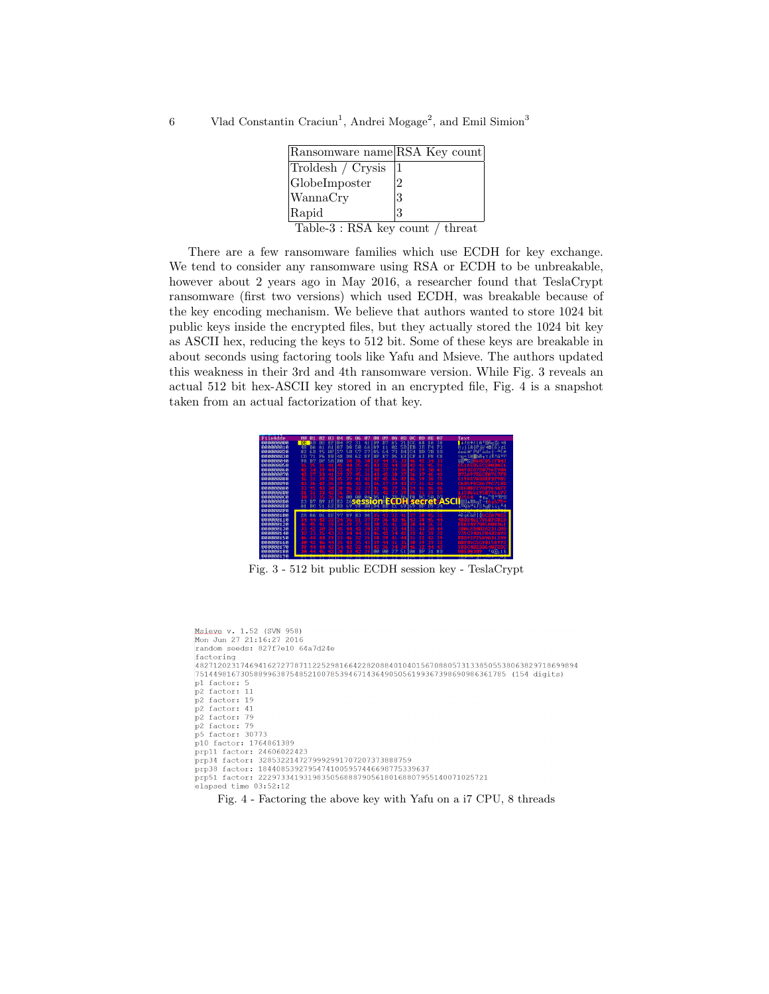6 Vlad Constantin Craciun<sup>1</sup>, Andrei Mogage<sup>2</sup>, and Emil Simion<sup>3</sup>

| Ransomware name RSA Key count    |   |  |  |  |
|----------------------------------|---|--|--|--|
| Troldesh / Crysis                |   |  |  |  |
| GlobeImposter                    | 2 |  |  |  |
| WannaCry                         | 3 |  |  |  |
| Rapid                            | 3 |  |  |  |
| Table-3 : RSA key count / threat |   |  |  |  |

There are a few ransomware families which use ECDH for key exchange. We tend to consider any ransomware using RSA or ECDH to be unbreakable, however about 2 years ago in May 2016, a researcher found that TeslaCrypt ransomware (first two versions) which used ECDH, was breakable because of the key encoding mechanism. We believe that authors wanted to store 1024 bit public keys inside the encrypted files, but they actually stored the 1024 bit key as ASCII hex, reducing the keys to 512 bit. Some of these keys are breakable in about seconds using factoring tools like Yafu and Msieve. The authors updated this weakness in their 3rd and 4th ransomware version. While Fig. 3 reveals an actual 512 bit hex-ASCII key stored in an encrypted file, Fig. 4 is a snapshot taken from an actual factorization of that key.



Fig. 3 - 512 bit public ECDH session key - TeslaCrypt

```
Msieve v. 1.52 (SVN 958)
Mon Jun 27 21:16:27 2016
random seeds: 827f7e10 64a7d24e
factoring
-<br>|4827120231746941627277871122529816642282088401040156708805731338505538063829718699894
751449816730588996387548521007853946714364905056199367398690986361785 (154 digits)
pl factor: 5
p2 factor: 11
p2 factor: 19
p2 factor: 41
p2 factor: 79
p2 factor: 79
p5 factor: 30773
p10 factor: 1764861389
prp11 factor: 24606022423
prp34 factor: 3285322147279992991707207373888759
prp38 factor: 18440853927954741005957446698775339637
prp51 factor: 222973341931983505688879056180168807955140071025721
elapsed time 03:52:12
```
Fig. 4 - Factoring the above key with Yafu on a i7 CPU, 8 threads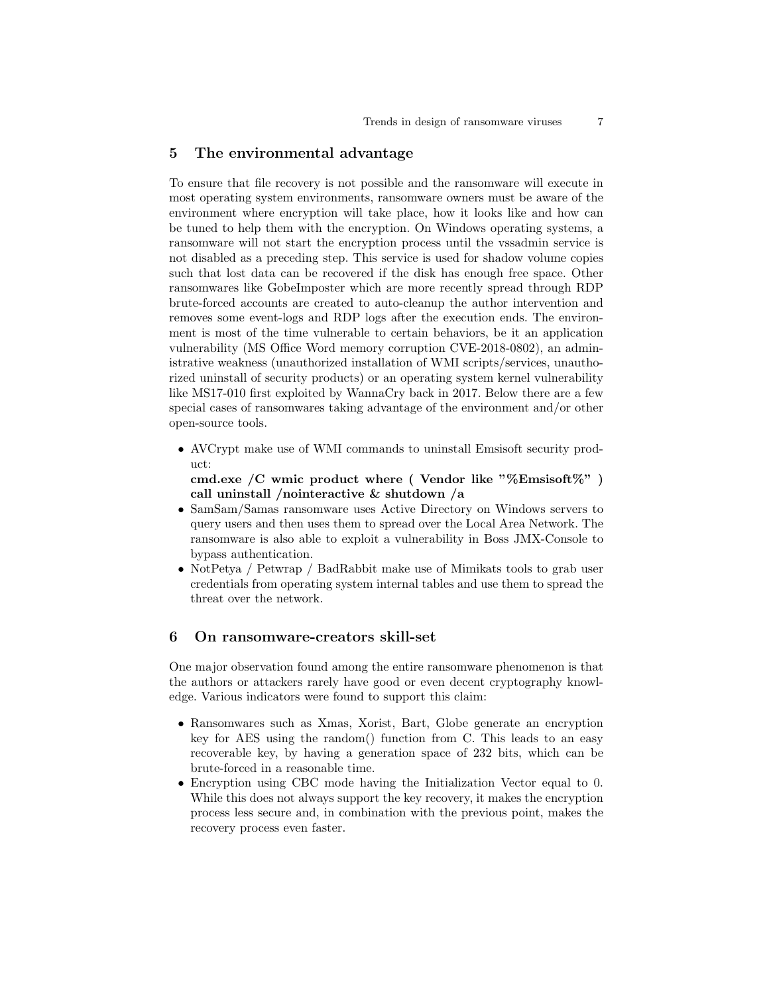# 5 The environmental advantage

To ensure that file recovery is not possible and the ransomware will execute in most operating system environments, ransomware owners must be aware of the environment where encryption will take place, how it looks like and how can be tuned to help them with the encryption. On Windows operating systems, a ransomware will not start the encryption process until the vssadmin service is not disabled as a preceding step. This service is used for shadow volume copies such that lost data can be recovered if the disk has enough free space. Other ransomwares like GobeImposter which are more recently spread through RDP brute-forced accounts are created to auto-cleanup the author intervention and removes some event-logs and RDP logs after the execution ends. The environment is most of the time vulnerable to certain behaviors, be it an application vulnerability (MS Office Word memory corruption CVE-2018-0802), an administrative weakness (unauthorized installation of WMI scripts/services, unauthorized uninstall of security products) or an operating system kernel vulnerability like MS17-010 first exploited by WannaCry back in 2017. Below there are a few special cases of ransomwares taking advantage of the environment and/or other open-source tools.

• AVCrypt make use of WMI commands to uninstall Emsisoft security product:

cmd.exe /C wmic product where ( Vendor like "%Emsisoft%") call uninstall /nointeractive & shutdown /a

- SamSam/Samas ransomware uses Active Directory on Windows servers to query users and then uses them to spread over the Local Area Network. The ransomware is also able to exploit a vulnerability in Boss JMX-Console to bypass authentication.
- NotPetya / Petwrap / BadRabbit make use of Mimikats tools to grab user credentials from operating system internal tables and use them to spread the threat over the network.

#### 6 On ransomware-creators skill-set

One major observation found among the entire ransomware phenomenon is that the authors or attackers rarely have good or even decent cryptography knowledge. Various indicators were found to support this claim:

- Ransomwares such as Xmas, Xorist, Bart, Globe generate an encryption key for AES using the random() function from C. This leads to an easy recoverable key, by having a generation space of 232 bits, which can be brute-forced in a reasonable time.
- Encryption using CBC mode having the Initialization Vector equal to 0. While this does not always support the key recovery, it makes the encryption process less secure and, in combination with the previous point, makes the recovery process even faster.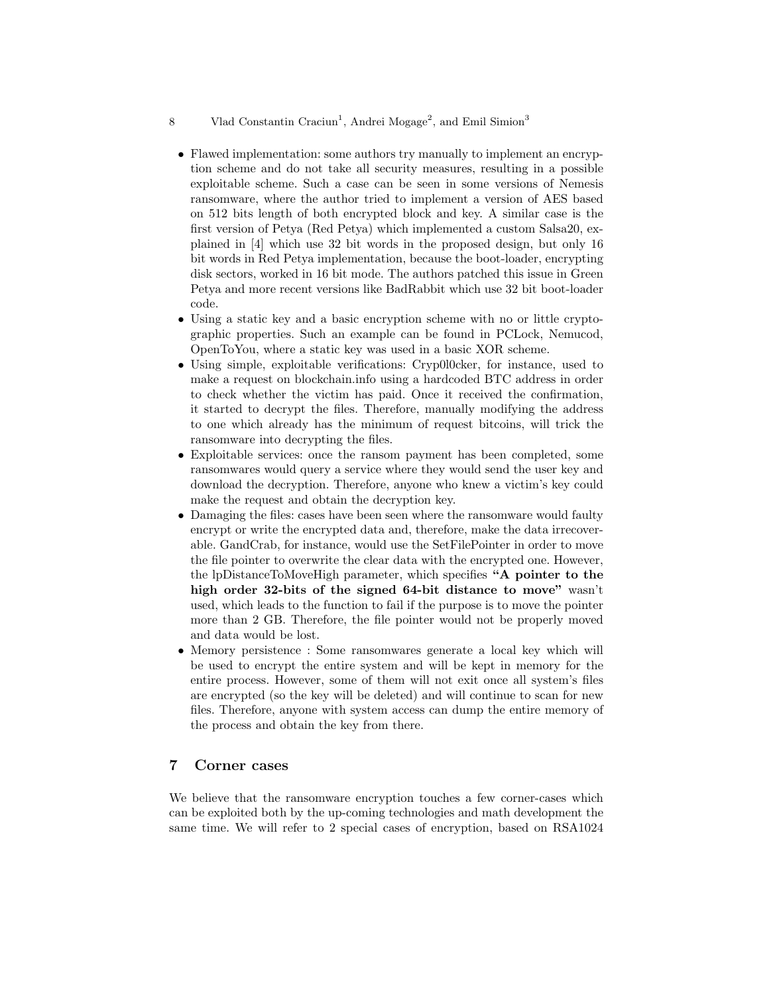#### 8 Vlad Constantin Craciun<sup>1</sup>, Andrei Mogage<sup>2</sup>, and Emil Simion<sup>3</sup>

- Flawed implementation: some authors try manually to implement an encryption scheme and do not take all security measures, resulting in a possible exploitable scheme. Such a case can be seen in some versions of Nemesis ransomware, where the author tried to implement a version of AES based on 512 bits length of both encrypted block and key. A similar case is the first version of Petya (Red Petya) which implemented a custom Salsa20, explained in [4] which use 32 bit words in the proposed design, but only 16 bit words in Red Petya implementation, because the boot-loader, encrypting disk sectors, worked in 16 bit mode. The authors patched this issue in Green Petya and more recent versions like BadRabbit which use 32 bit boot-loader code.
- Using a static key and a basic encryption scheme with no or little cryptographic properties. Such an example can be found in PCLock, Nemucod, OpenToYou, where a static key was used in a basic XOR scheme.
- Using simple, exploitable verifications: Cryp0l0cker, for instance, used to make a request on blockchain.info using a hardcoded BTC address in order to check whether the victim has paid. Once it received the confirmation, it started to decrypt the files. Therefore, manually modifying the address to one which already has the minimum of request bitcoins, will trick the ransomware into decrypting the files.
- Exploitable services: once the ransom payment has been completed, some ransomwares would query a service where they would send the user key and download the decryption. Therefore, anyone who knew a victim's key could make the request and obtain the decryption key.
- Damaging the files: cases have been seen where the ransomware would faulty encrypt or write the encrypted data and, therefore, make the data irrecoverable. GandCrab, for instance, would use the SetFilePointer in order to move the file pointer to overwrite the clear data with the encrypted one. However, the lpDistanceToMoveHigh parameter, which specifies "A pointer to the high order 32-bits of the signed 64-bit distance to move" wasn't used, which leads to the function to fail if the purpose is to move the pointer more than 2 GB. Therefore, the file pointer would not be properly moved and data would be lost.
- Memory persistence : Some ransomwares generate a local key which will be used to encrypt the entire system and will be kept in memory for the entire process. However, some of them will not exit once all system's files are encrypted (so the key will be deleted) and will continue to scan for new files. Therefore, anyone with system access can dump the entire memory of the process and obtain the key from there.

## 7 Corner cases

We believe that the ransomware encryption touches a few corner-cases which can be exploited both by the up-coming technologies and math development the same time. We will refer to 2 special cases of encryption, based on RSA1024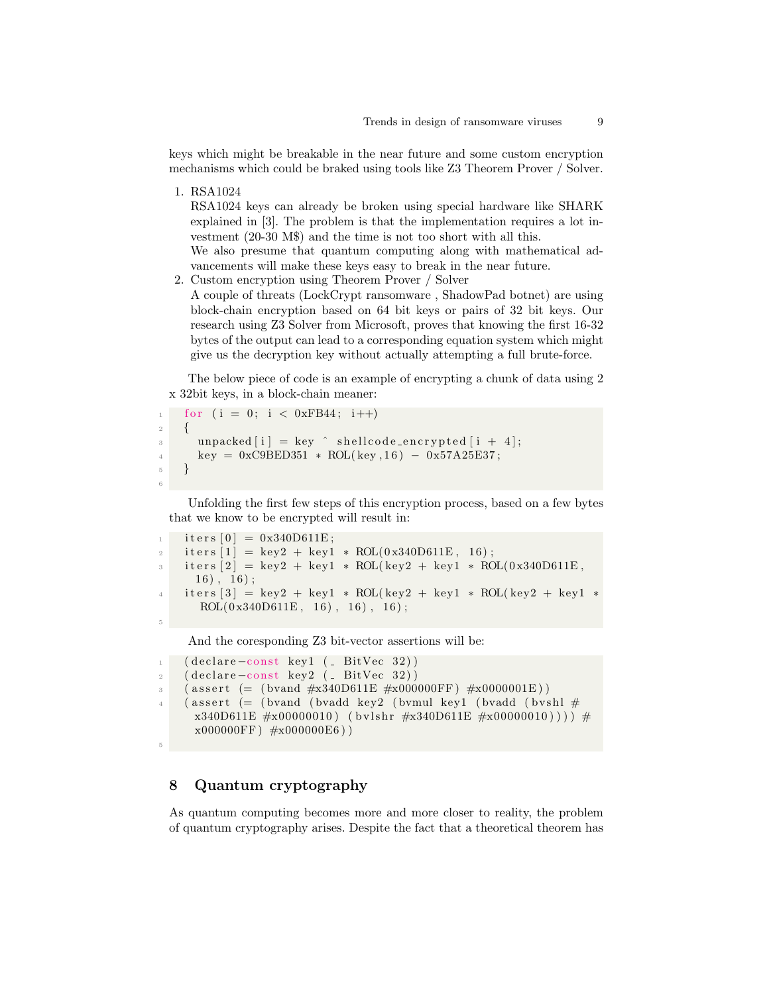keys which might be breakable in the near future and some custom encryption mechanisms which could be braked using tools like Z3 Theorem Prover / Solver.

1. RSA1024

RSA1024 keys can already be broken using special hardware like SHARK explained in [3]. The problem is that the implementation requires a lot investment (20-30 M\$) and the time is not too short with all this.

We also presume that quantum computing along with mathematical advancements will make these keys easy to break in the near future.

2. Custom encryption using Theorem Prover / Solver A couple of threats (LockCrypt ransomware , ShadowPad botnet) are using block-chain encryption based on 64 bit keys or pairs of 32 bit keys. Our research using Z3 Solver from Microsoft, proves that knowing the first 16-32 bytes of the output can lead to a corresponding equation system which might give us the decryption key without actually attempting a full brute-force.

The below piece of code is an example of encrypting a chunk of data using 2 x 32bit keys, in a block-chain meaner:

```
for (i = 0; i < 0xFB44; i++)2 {
3 unpacked [i] = \text{key} \land shellcode_encrypted [i + 4];
4 \text{ key} = 0 \text{x} \text{C} 9 \text{B} \text{E} D 351 \times \text{ROL} (\text{key}, 16) - 0 \text{x} 57 \text{A} 25 \text{E} 37 ;5 }
6
```
Unfolding the first few steps of this encryption process, based on a few bytes that we know to be encrypted will result in:

```
1 \quad \text{iters } [0] = 0x340D611E;i \text{ terms } [1] = \text{key2 + key1 * ROL}(0x340D611E, 16);3 iters [2] = \text{key2} + \text{key1} * \text{ROL}(\text{key2} + \text{key1} * \text{ROL}(0 \times 340\text{D}611\text{E}),16), 16;
      \text{iters } [3] = \text{key2} + \text{key1} * \text{ROL}(\text{key2} + \text{key1} * \text{ROL}(\text{key2} + \text{key1} * \text{z}))ROL(0x340D611E, 16), 16), 16);
5
```
And the coresponding Z3 bit-vector assertions will be:

```
1 ( declare –const key1 ( BitVec 32))
2 ( declare –const key2 ( BitVec 32))
3 ( assert (= (bvand #x340D611E #x000000FF) #x0000001E))
   (assert ( (bvand (bvadd key2 (bvmul key1 (bvadd (bvshl #x340D611E \#x00000010) (bvlshr \#x340D611E \#x00000010))) #
     x0000000FF #x000000E6)
```
# 8 Quantum cryptography

5

As quantum computing becomes more and more closer to reality, the problem of quantum cryptography arises. Despite the fact that a theoretical theorem has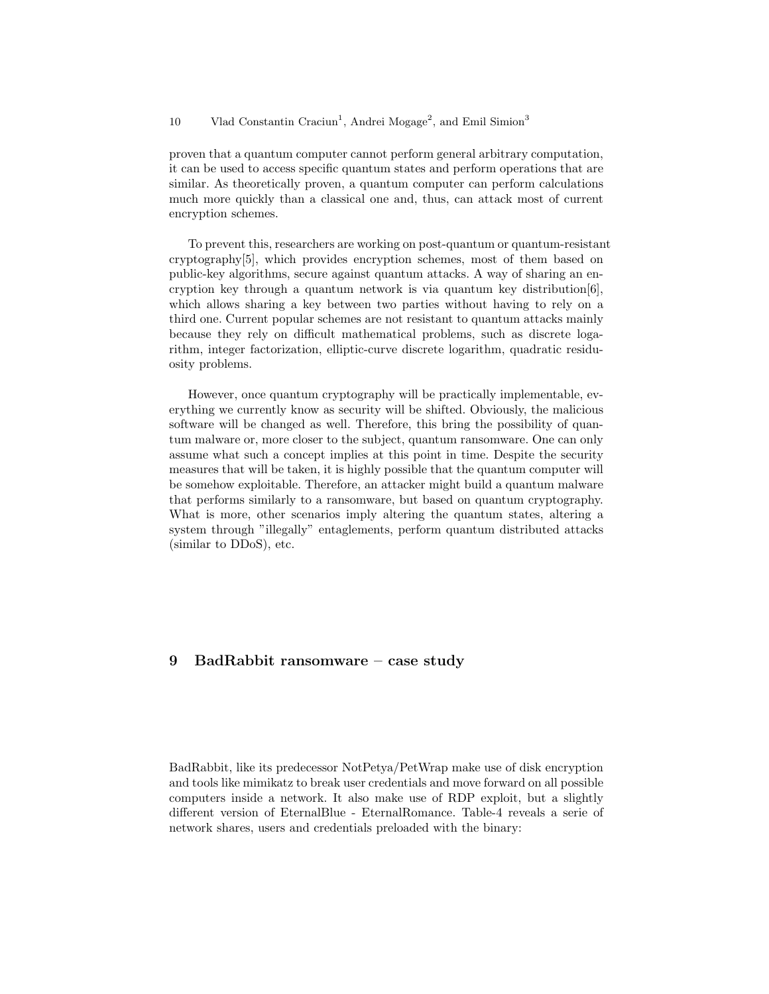#### 10 Vlad Constantin Craciun<sup>1</sup>, Andrei Mogage<sup>2</sup>, and Emil Simion<sup>3</sup>

proven that a quantum computer cannot perform general arbitrary computation, it can be used to access specific quantum states and perform operations that are similar. As theoretically proven, a quantum computer can perform calculations much more quickly than a classical one and, thus, can attack most of current encryption schemes.

To prevent this, researchers are working on post-quantum or quantum-resistant cryptography[5], which provides encryption schemes, most of them based on public-key algorithms, secure against quantum attacks. A way of sharing an encryption key through a quantum network is via quantum key distribution[6], which allows sharing a key between two parties without having to rely on a third one. Current popular schemes are not resistant to quantum attacks mainly because they rely on difficult mathematical problems, such as discrete logarithm, integer factorization, elliptic-curve discrete logarithm, quadratic residuosity problems.

However, once quantum cryptography will be practically implementable, everything we currently know as security will be shifted. Obviously, the malicious software will be changed as well. Therefore, this bring the possibility of quantum malware or, more closer to the subject, quantum ransomware. One can only assume what such a concept implies at this point in time. Despite the security measures that will be taken, it is highly possible that the quantum computer will be somehow exploitable. Therefore, an attacker might build a quantum malware that performs similarly to a ransomware, but based on quantum cryptography. What is more, other scenarios imply altering the quantum states, altering a system through "illegally" entaglements, perform quantum distributed attacks (similar to DDoS), etc.

# 9 BadRabbit ransomware – case study

BadRabbit, like its predecessor NotPetya/PetWrap make use of disk encryption and tools like mimikatz to break user credentials and move forward on all possible computers inside a network. It also make use of RDP exploit, but a slightly different version of EternalBlue - EternalRomance. Table-4 reveals a serie of network shares, users and credentials preloaded with the binary: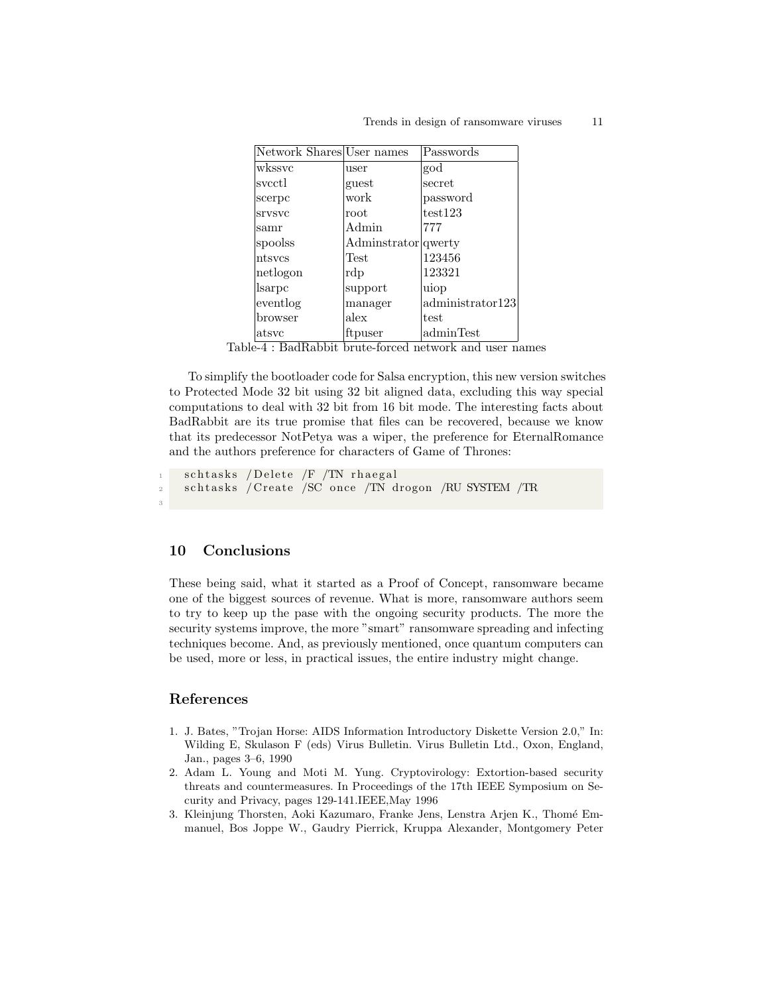| Network Shares User names |                      | Passwords        |
|---------------------------|----------------------|------------------|
| wkssyc                    | user                 | god              |
| svcctl                    | guest                | secret           |
| scerpc                    | work                 | password         |
| srvsvc                    | root                 | test123          |
| samr                      | Admin                | 777              |
| spoolss                   | Administrator qwerty |                  |
| ntsycs                    | Test                 | 123456           |
| netlogon                  | rdp                  | 123321           |
| sarpc                     | support              | uiop             |
| eventlog                  | manager              | administrator123 |
| browser                   | alex                 | test             |
| atsvc                     | ftpuser              | adminTest        |

Table-4 : BadRabbit brute-forced network and user names

To simplify the bootloader code for Salsa encryption, this new version switches to Protected Mode 32 bit using 32 bit aligned data, excluding this way special computations to deal with 32 bit from 16 bit mode. The interesting facts about BadRabbit are its true promise that files can be recovered, because we know that its predecessor NotPetya was a wiper, the preference for EternalRomance and the authors preference for characters of Game of Thrones:

```
_{1} schtasks /Delete /F /TN rhaegal
2 schtasks / Create / SC once / TN drogon / RU SYSTEM / TR
```
#### 10 Conclusions

3

These being said, what it started as a Proof of Concept, ransomware became one of the biggest sources of revenue. What is more, ransomware authors seem to try to keep up the pase with the ongoing security products. The more the security systems improve, the more "smart" ransomware spreading and infecting techniques become. And, as previously mentioned, once quantum computers can be used, more or less, in practical issues, the entire industry might change.

# References

- 1. J. Bates, "Trojan Horse: AIDS Information Introductory Diskette Version 2.0," In: Wilding E, Skulason F (eds) Virus Bulletin. Virus Bulletin Ltd., Oxon, England, Jan., pages 3–6, 1990
- 2. Adam L. Young and Moti M. Yung. Cryptovirology: Extortion-based security threats and countermeasures. In Proceedings of the 17th IEEE Symposium on Security and Privacy, pages 129-141.IEEE,May 1996
- 3. Kleinjung Thorsten, Aoki Kazumaro, Franke Jens, Lenstra Arjen K., Thomé Emmanuel, Bos Joppe W., Gaudry Pierrick, Kruppa Alexander, Montgomery Peter